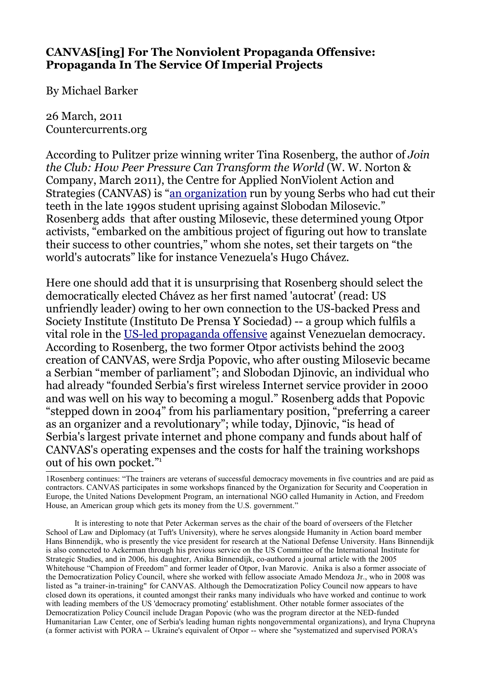## **CANVAS[ing] For The Nonviolent Propaganda Offensive: Propaganda In The Service Of Imperial Projects**

By Michael Barker

26 March, 2011 Countercurrents.org

According to Pulitzer prize winning writer Tina Rosenberg, the author of *Join the Club: How Peer Pressure Can Transform the World* (W. W. Norton & Company, March 2011), the Centre for Applied NonViolent Action and Strategies (CANVAS) is ["an organization](http://www.foreignpolicy.com/articles/2011/02/16/revolution_u?page=full) run by young Serbs who had cut their teeth in the late 1990s student uprising against Slobodan Milosevic." Rosenberg adds that after ousting Milosevic, these determined young Otpor activists, "embarked on the ambitious project of figuring out how to translate their success to other countries," whom she notes, set their targets on "the world's autocrats" like for instance Venezuela's Hugo Chávez.

Here one should add that it is unsurprising that Rosenberg should select the democratically elected Chávez as her first named 'autocrat' (read: US unfriendly leader) owing to her own connection to the US-backed Press and Society Institute (Instituto De Prensa Y Sociedad) -- a group which fulfils a vital role in the [US-led propaganda offensive](http://www.zcommunications.org/washington-promotes-independent-media-in-venezuela-by-michael-barker-1) against Venezuelan democracy. According to Rosenberg, the two former Otpor activists behind the 2003 creation of CANVAS, were Srdja Popovic, who after ousting Milosevic became a Serbian "member of parliament"; and Slobodan Djinovic, an individual who had already "founded Serbia's first wireless Internet service provider in 2000 and was well on his way to becoming a mogul." Rosenberg adds that Popovic "stepped down in 2004" from his parliamentary position, "preferring a career as an organizer and a revolutionary"; while today, Djinovic, "is head of Serbia's largest private internet and phone company and funds about half of CANVAS's operating expenses and the costs for half the training workshops out of his own pocket."[1](#page-0-0)

It is interesting to note that Peter Ackerman serves as the chair of the board of overseers of the Fletcher School of Law and Diplomacy (at Tuft's University), where he serves alongside Humanity in Action board member Hans Binnendijk, who is presently the vice president for research at the National Defense University. Hans Binnendijk is also connceted to Ackerman through his previous service on the US Committee of the International Institute for Strategic Studies, and in 2006, his daughter, Anika Binnendijk, co-authored a journal article with the 2005 Whitehouse "Champion of Freedom" and former leader of Otpor, Ivan Marovic. Anika is also a former associate of the Democratization Policy Council, where she worked with fellow associate Amado Mendoza Jr., who in 2008 was listed as "a trainer-in-training" for CANVAS. Although the Democratization Policy Council now appears to have closed down its operations, it counted amongst their ranks many individuals who have worked and continue to work with leading members of the US 'democracy promoting' establishment. Other notable former associates of the Democratization Policy Council include Dragan Popovic (who was the program director at the NED-funded Humanitarian Law Center, one of Serbia's leading human rights nongovernmental organizations), and Iryna Chupryna (a former activist with PORA -- Ukraine's equivalent of Otpor -- where she "systematized and supervised PORA's

<span id="page-0-0"></span><sup>1</sup>Rosenberg continues: "The trainers are veterans of successful democracy movements in five countries and are paid as contractors. CANVAS participates in some workshops financed by the Organization for Security and Cooperation in Europe, the United Nations Development Program, an international NGO called Humanity in Action, and Freedom House, an American group which gets its money from the U.S. government."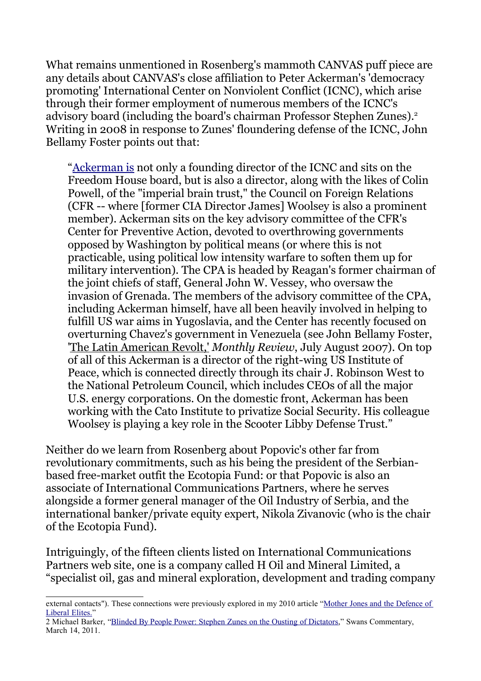What remains unmentioned in Rosenberg's mammoth CANVAS puff piece are any details about CANVAS's close affiliation to Peter Ackerman's 'democracy promoting' International Center on Nonviolent Conflict (ICNC), which arise through their former employment of numerous members of the ICNC's advisory board (including the board's chairman Professor Stephen Zunes).[2](#page-1-0) Writing in 2008 in response to Zunes' floundering defense of the ICNC, John Bellamy Foster points out that:

["Ackerman is](http://mrzine.monthlyreview.org/2008/foster170108.html) not only a founding director of the ICNC and sits on the Freedom House board, but is also a director, along with the likes of Colin Powell, of the "imperial brain trust," the Council on Foreign Relations (CFR -- where [former CIA Director James] Woolsey is also a prominent member). Ackerman sits on the key advisory committee of the CFR's Center for Preventive Action, devoted to overthrowing governments opposed by Washington by political means (or where this is not practicable, using political low intensity warfare to soften them up for military intervention). The CPA is headed by Reagan's former chairman of the joint chiefs of staff, General John W. Vessey, who oversaw the invasion of Grenada. The members of the advisory committee of the CPA, including Ackerman himself, have all been heavily involved in helping to fulfill US war aims in Yugoslavia, and the Center has recently focused on overturning Chavez's government in Venezuela (see John Bellamy Foster, 'The Latin American Revolt,' *Monthly Review*, July August 2007). On top of all of this Ackerman is a director of the right-wing US Institute of Peace, which is connected directly through its chair J. Robinson West to the National Petroleum Council, which includes CEOs of all the major U.S. energy corporations. On the domestic front, Ackerman has been working with the Cato Institute to privatize Social Security. His colleague Woolsey is playing a key role in the Scooter Libby Defense Trust."

Neither do we learn from Rosenberg about Popovic's other far from revolutionary commitments, such as his being the president of the Serbianbased free-market outfit the Ecotopia Fund: or that Popovic is also an associate of International Communications Partners, where he serves alongside a former general manager of the Oil Industry of Serbia, and the international banker/private equity expert, Nikola Zivanovic (who is the chair of the Ecotopia Fund).

Intriguingly, of the fifteen clients listed on International Communications Partners web site, one is a company called H Oil and Mineral Limited, a "specialist oil, gas and mineral exploration, development and trading company

external contacts"). These connections were previously explored in my 2010 article ["Mother Jones and the Defence of](http://www.swans.com/library/art16/barker47.html%20) Liberal Elites.'

<span id="page-1-0"></span><sup>2</sup> Michael Barker, ["Blinded By People Power: Stephen Zunes on the Ousting of Dictators,](http://www.swans.com/library/art17/barker74.html)" Swans Commentary, March 14, 2011.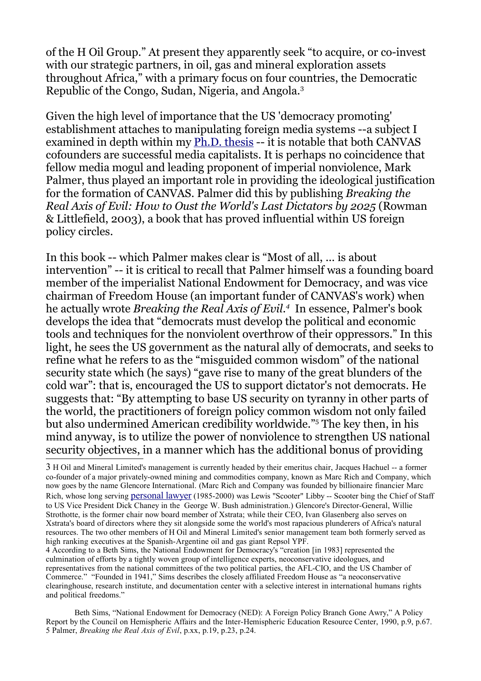of the H Oil Group." At present they apparently seek "to acquire, or co-invest with our strategic partners, in oil, gas and mineral exploration assets throughout Africa," with a primary focus on four countries, the Democratic Republic of the Congo, Sudan, Nigeria, and Angola.<sup>[3](#page-2-0)</sup>

Given the high level of importance that the US 'democracy promoting' establishment attaches to manipulating foreign media systems --a subject I examined in depth within my [Ph.D. thesis](http://michaeljamesbarker.wordpress.com/thesis-outline/) -- it is notable that both CANVAS cofounders are successful media capitalists. It is perhaps no coincidence that fellow media mogul and leading proponent of imperial nonviolence, Mark Palmer, thus played an important role in providing the ideological justification for the formation of CANVAS. Palmer did this by publishing *Breaking the Real Axis of Evil: How to Oust the World's Last Dictators by 2025* (Rowman & Littlefield, 2003), a book that has proved influential within US foreign policy circles.

In this book -- which Palmer makes clear is "Most of all, ... is about intervention" -- it is critical to recall that Palmer himself was a founding board member of the imperialist National Endowment for Democracy, and was vice chairman of Freedom House (an important funder of CANVAS's work) when he actually wrote *Breaking the Real Axis of Evil.[4](#page-2-1)* In essence, Palmer's book develops the idea that "democrats must develop the political and economic tools and techniques for the nonviolent overthrow of their oppressors." In this light, he sees the US government as the natural ally of democrats, and seeks to refine what he refers to as the "misguided common wisdom" of the national security state which (he says) "gave rise to many of the great blunders of the cold war": that is, encouraged the US to support dictator's not democrats. He suggests that: "By attempting to base US security on tyranny in other parts of the world, the practitioners of foreign policy common wisdom not only failed but also undermined American credibility worldwide."[5](#page-2-2) The key then, in his mind anyway, is to utilize the power of nonviolence to strengthen US national security objectives, in a manner which has the additional bonus of providing

<span id="page-2-0"></span><sup>3</sup> H Oil and Mineral Limited's management is currently headed by their emeritus chair, Jacques Hachuel -- a former co-founder of a major privately-owned mining and commodities company, known as Marc Rich and Company, which now goes by the name Glencore International. (Marc Rich and Company was founded by billionaire financier Marc Rich, whose long serving [personal lawyer](http://www.antiwar.com/justin/jspecial100203.html) (1985-2000) was Lewis "Scooter" Libby -- Scooter bing the Chief of Staff to US Vice President Dick Chaney in the George W. Bush administration.) Glencore's Director-General, Willie Strothotte, is the former chair now board member of Xstrata; while their CEO, Ivan Glasenberg also serves on Xstrata's board of directors where they sit alongside some the world's most rapacious plunderers of Africa's natural resources. The two other members of H Oil and Mineral Limited's senior management team both formerly served as high ranking executives at the Spanish-Argentine oil and gas giant Repsol YPF.

<span id="page-2-1"></span><sup>4</sup> According to a Beth Sims, the National Endowment for Democracy's "creation [in 1983] represented the culmination of efforts by a tightly woven group of intelligence experts, neoconservative ideologues, and representatives from the national committees of the two political parties, the AFL-CIO, and the US Chamber of Commerce." "Founded in 1941," Sims describes the closely affiliated Freedom House as "a neoconservative clearinghouse, research institute, and documentation center with a selective interest in international humans rights and political freedoms.'

<span id="page-2-2"></span>Beth Sims, "National Endowment for Democracy (NED): A Foreign Policy Branch Gone Awry," A Policy Report by the Council on Hemispheric Affairs and the Inter-Hemispheric Education Resource Center, 1990, p.9, p.67. 5 Palmer, *Breaking the Real Axis of Evil*, p.xx, p.19, p.23, p.24.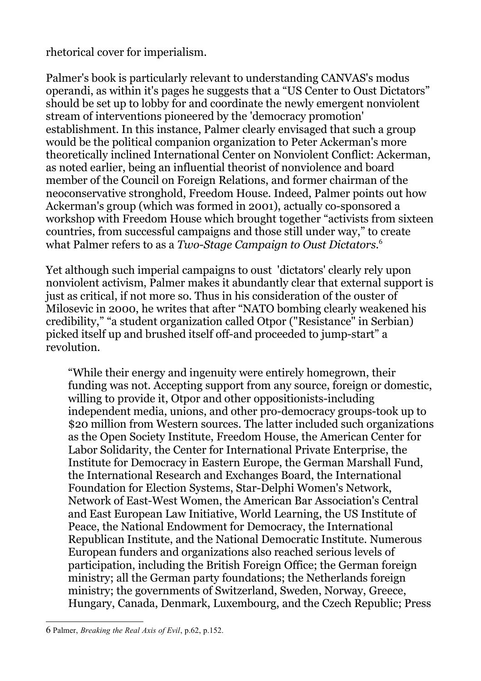rhetorical cover for imperialism.

Palmer's book is particularly relevant to understanding CANVAS's modus operandi, as within it's pages he suggests that a "US Center to Oust Dictators" should be set up to lobby for and coordinate the newly emergent nonviolent stream of interventions pioneered by the 'democracy promotion' establishment. In this instance, Palmer clearly envisaged that such a group would be the political companion organization to Peter Ackerman's more theoretically inclined International Center on Nonviolent Conflict: Ackerman, as noted earlier, being an influential theorist of nonviolence and board member of the Council on Foreign Relations, and former chairman of the neoconservative stronghold, Freedom House. Indeed, Palmer points out how Ackerman's group (which was formed in 2001), actually co-sponsored a workshop with Freedom House which brought together "activists from sixteen countries, from successful campaigns and those still under way," to create what Palmer refers to as a *Two-Stage Campaign to Oust Dictators*. [6](#page-3-0)

Yet although such imperial campaigns to oust 'dictators' clearly rely upon nonviolent activism, Palmer makes it abundantly clear that external support is just as critical, if not more so. Thus in his consideration of the ouster of Milosevic in 2000, he writes that after "NATO bombing clearly weakened his credibility," "a student organization called Otpor ("Resistance" in Serbian) picked itself up and brushed itself off-and proceeded to jump-start" a revolution.

"While their energy and ingenuity were entirely homegrown, their funding was not. Accepting support from any source, foreign or domestic, willing to provide it, Otpor and other oppositionists-including independent media, unions, and other pro-democracy groups-took up to \$20 million from Western sources. The latter included such organizations as the Open Society Institute, Freedom House, the American Center for Labor Solidarity, the Center for International Private Enterprise, the Institute for Democracy in Eastern Europe, the German Marshall Fund, the International Research and Exchanges Board, the International Foundation for Election Systems, Star-Delphi Women's Network, Network of East-West Women, the American Bar Association's Central and East European Law Initiative, World Learning, the US Institute of Peace, the National Endowment for Democracy, the International Republican Institute, and the National Democratic Institute. Numerous European funders and organizations also reached serious levels of participation, including the British Foreign Office; the German foreign ministry; all the German party foundations; the Netherlands foreign ministry; the governments of Switzerland, Sweden, Norway, Greece, Hungary, Canada, Denmark, Luxembourg, and the Czech Republic; Press

<span id="page-3-0"></span><sup>6</sup> Palmer, *Breaking the Real Axis of Evil*, p.62, p.152.